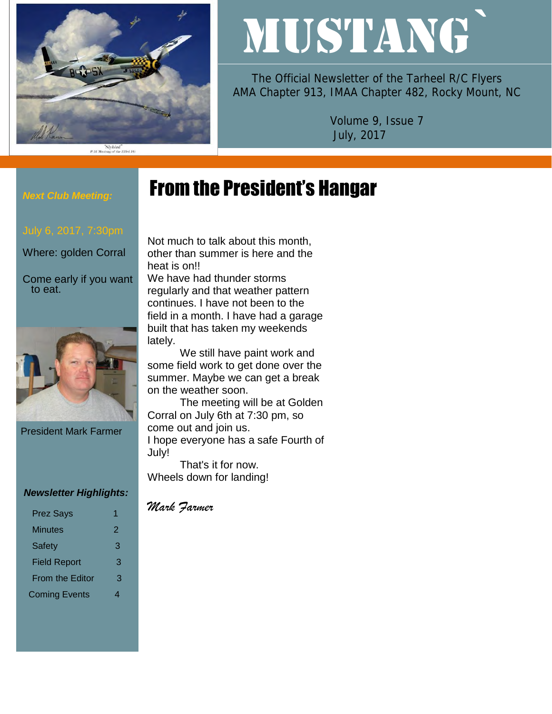

# MUSTANG`

The Official Newsletter of the Tarheel R/C Flyers AMA Chapter 913, IMAA Chapter 482, Rocky Mount, NC

> Volume 9, Issue 7 July, 2017

# From the President's Hangar

#### *Next Club Meeting:*

Where: golden Corral

Come early if you want to eat.



President Mark Farmer

#### *Newsletter Highlights:*

| 2 |
|---|
| З |
| 3 |
| З |
|   |
|   |

Not much to talk about this month, other than summer is here and the heat is on!!

We have had thunder storms regularly and that weather pattern continues. I have not been to the field in a month. I have had a garage built that has taken my weekends lately.

We still have paint work and some field work to get done over the summer. Maybe we can get a break on the weather soon.

The meeting will be at Golden Corral on July 6th at 7:30 pm, so come out and join us. I hope everyone has a safe Fourth of July!

That's it for now. Wheels down for landing!

#### *Mark Farmer*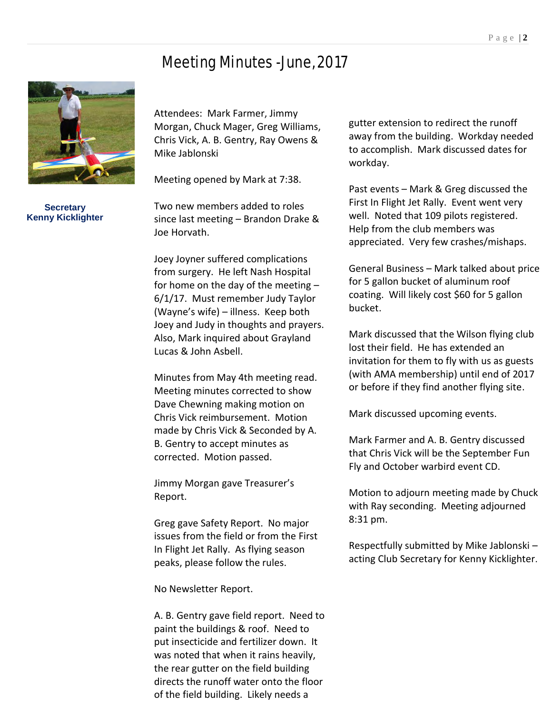# Meeting Minutes -June, 2017



**Secretary Kenny Kicklighter**

Attendees: Mark Farmer, Jimmy Morgan, Chuck Mager, Greg Williams, Chris Vick, A. B. Gentry, Ray Owens & Mike Jablonski

Meeting opened by Mark at 7:38.

Two new members added to roles since last meeting – Brandon Drake & Joe Horvath.

Joey Joyner suffered complications from surgery. He left Nash Hospital for home on the day of the meeting – 6/1/17. Must remember Judy Taylor (Wayne's wife) – illness. Keep both Joey and Judy in thoughts and prayers. Also, Mark inquired about Grayland Lucas & John Asbell.

Minutes from May 4th meeting read. Meeting minutes corrected to show Dave Chewning making motion on Chris Vick reimbursement. Motion made by Chris Vick & Seconded by A. B. Gentry to accept minutes as corrected. Motion passed.

Jimmy Morgan gave Treasurer's Report.

Greg gave Safety Report. No major issues from the field or from the First In Flight Jet Rally. As flying season peaks, please follow the rules.

No Newsletter Report.

A. B. Gentry gave field report. Need to paint the buildings & roof. Need to put insecticide and fertilizer down. It was noted that when it rains heavily, the rear gutter on the field building directs the runoff water onto the floor of the field building. Likely needs a

gutter extension to redirect the runoff away from the building. Workday needed to accomplish. Mark discussed dates for workday.

Past events – Mark & Greg discussed the First In Flight Jet Rally. Event went very well. Noted that 109 pilots registered. Help from the club members was appreciated. Very few crashes/mishaps.

General Business – Mark talked about price for 5 gallon bucket of aluminum roof coating. Will likely cost \$60 for 5 gallon bucket.

Mark discussed that the Wilson flying club lost their field. He has extended an invitation for them to fly with us as guests (with AMA membership) until end of 2017 or before if they find another flying site.

Mark discussed upcoming events.

Mark Farmer and A. B. Gentry discussed that Chris Vick will be the September Fun Fly and October warbird event CD.

Motion to adjourn meeting made by Chuck with Ray seconding. Meeting adjourned 8:31 pm.

Respectfully submitted by Mike Jablonski – acting Club Secretary for Kenny Kicklighter.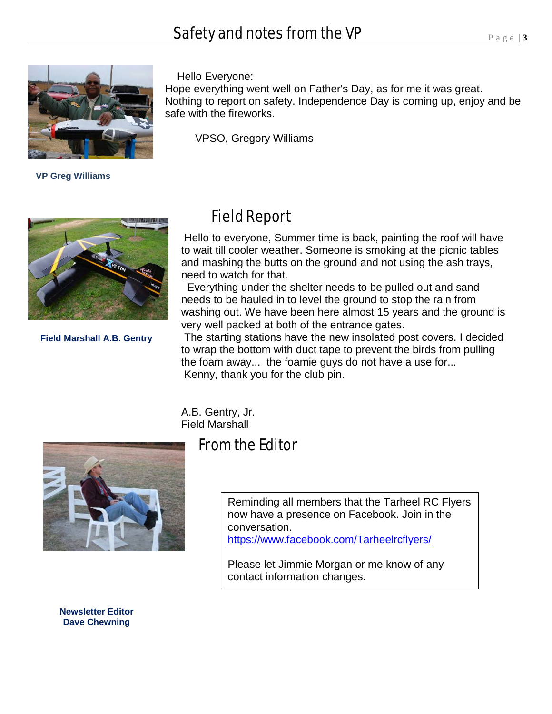# Safety and notes from the VP



 **VP Greg Williams**

#### Hello Everyone:

Hope everything went well on Father's Day, as for me it was great. Nothing to report on safety. Independence Day is coming up, enjoy and be safe with the fireworks.

VPSO, Gregory Williams



**Field Marshall A.B. Gentry**

### Field Report

Hello to everyone, Summer time is back, painting the roof will have to wait till cooler weather. Someone is smoking at the picnic tables and mashing the butts on the ground and not using the ash trays, need to watch for that.

Everything under the shelter needs to be pulled out and sand needs to be hauled in to level the ground to stop the rain from washing out. We have been here almost 15 years and the ground is very well packed at both of the entrance gates.

The starting stations have the new insolated post covers. I decided to wrap the bottom with duct tape to prevent the birds from pulling the foam away... the foamie guys do not have a use for... Kenny, thank you for the club pin.

A.B. Gentry, Jr. Field Marshall



From the Editor

Reminding all members that the Tarheel RC Flyers now have a presence on Facebook. Join in the conversation. <https://www.facebook.com/Tarheelrcflyers/>

Please let Jimmie Morgan or me know of any contact information changes.

**Newsletter Editor Dave Chewning**